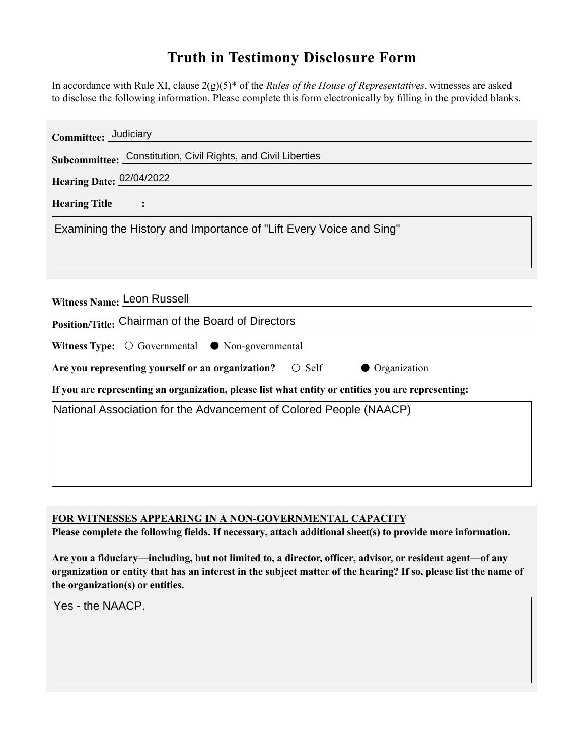## **Truth in Testimony Disclosure Form**

In accordance with Rule XI, clause 2(g)(5)\* of the *Rules of the House of Representatives*, witnesses are asked to disclose the following information. Please complete this form electronically by filling in the provided blanks.

| Committee: Judiciary                                                                               |
|----------------------------------------------------------------------------------------------------|
| Subcommittee: Constitution, Civil Rights, and Civil Liberties                                      |
| Hearing Date: 02/04/2022                                                                           |
| <b>Hearing Title</b><br>$\ddot{\cdot}$                                                             |
| Examining the History and Importance of "Lift Every Voice and Sing"                                |
|                                                                                                    |
|                                                                                                    |
| Witness Name: Leon Russell                                                                         |
| Position/Title: Chairman of the Board of Directors                                                 |
| Witness Type: $\bigcirc$ Governmental $\bullet$ Non-governmental                                   |
| Are you representing yourself or an organization? $\circ$ Self<br>• Organization                   |
| If you are representing an organization, please list what entity or entities you are representing: |
| National Association for the Advancement of Colored People (NAACP)                                 |
|                                                                                                    |
|                                                                                                    |
|                                                                                                    |

**FOR WITNESSES APPEARING IN A NON-GOVERNMENTAL CAPACITY**

**Please complete the following fields. If necessary, attach additional sheet(s) to provide more information.**

**Are you a fiduciary—including, but not limited to, a director, officer, advisor, or resident agent—of any organization or entity that has an interest in the subject matter of the hearing? If so, please list the name of the organization(s) or entities.**

Yes - the NAACP.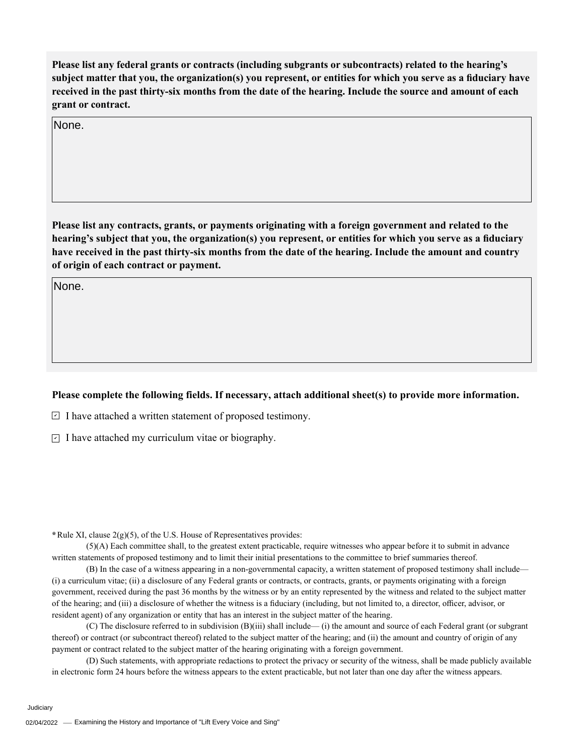**Please list any federal grants or contracts (including subgrants or subcontracts) related to the hearing's subject matter that you, the organization(s) you represent, or entities for which you serve as a fiduciary have received in the past thirty-six months from the date of the hearing. Include the source and amount of each grant or contract.** 

None.

**Please list any contracts, grants, or payments originating with a foreign government and related to the hearing's subject that you, the organization(s) you represent, or entities for which you serve as a fiduciary have received in the past thirty-six months from the date of the hearing. Include the amount and country of origin of each contract or payment.** 

None.

## **Please complete the following fields. If necessary, attach additional sheet(s) to provide more information.**

 $\exists$  I have attached a written statement of proposed testimony.

 $\subseteq$  I have attached my curriculum vitae or biography.

**\***Rule XI, clause 2(g)(5), of the U.S. House of Representatives provides:

(5)(A) Each committee shall, to the greatest extent practicable, require witnesses who appear before it to submit in advance written statements of proposed testimony and to limit their initial presentations to the committee to brief summaries thereof.

(B) In the case of a witness appearing in a non-governmental capacity, a written statement of proposed testimony shall include— (i) a curriculum vitae; (ii) a disclosure of any Federal grants or contracts, or contracts, grants, or payments originating with a foreign government, received during the past 36 months by the witness or by an entity represented by the witness and related to the subject matter of the hearing; and (iii) a disclosure of whether the witness is a fiduciary (including, but not limited to, a director, officer, advisor, or resident agent) of any organization or entity that has an interest in the subject matter of the hearing.

(C) The disclosure referred to in subdivision (B)(iii) shall include— (i) the amount and source of each Federal grant (or subgrant thereof) or contract (or subcontract thereof) related to the subject matter of the hearing; and (ii) the amount and country of origin of any payment or contract related to the subject matter of the hearing originating with a foreign government.

(D) Such statements, with appropriate redactions to protect the privacy or security of the witness, shall be made publicly available in electronic form 24 hours before the witness appears to the extent practicable, but not later than one day after the witness appears.

Judiciary